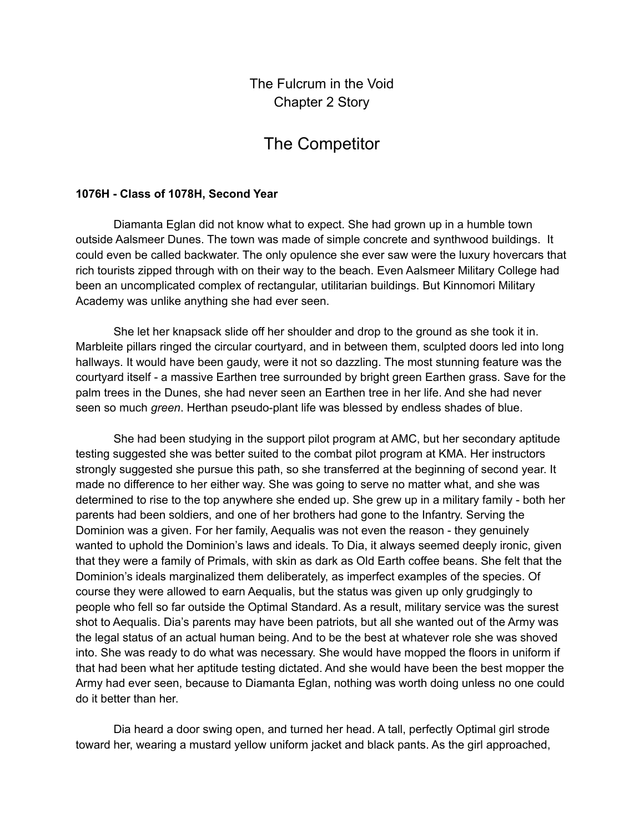The Fulcrum in the Void Chapter 2 Story

## The Competitor

## **1076H - Class of 1078H, Second Year**

Diamanta Eglan did not know what to expect. She had grown up in a humble town outside Aalsmeer Dunes. The town was made of simple concrete and synthwood buildings. It could even be called backwater. The only opulence she ever saw were the luxury hovercars that rich tourists zipped through with on their way to the beach. Even Aalsmeer Military College had been an uncomplicated complex of rectangular, utilitarian buildings. But Kinnomori Military Academy was unlike anything she had ever seen.

She let her knapsack slide off her shoulder and drop to the ground as she took it in. Marbleite pillars ringed the circular courtyard, and in between them, sculpted doors led into long hallways. It would have been gaudy, were it not so dazzling. The most stunning feature was the courtyard itself - a massive Earthen tree surrounded by bright green Earthen grass. Save for the palm trees in the Dunes, she had never seen an Earthen tree in her life. And she had never seen so much *green*. Herthan pseudo-plant life was blessed by endless shades of blue.

She had been studying in the support pilot program at AMC, but her secondary aptitude testing suggested she was better suited to the combat pilot program at KMA. Her instructors strongly suggested she pursue this path, so she transferred at the beginning of second year. It made no difference to her either way. She was going to serve no matter what, and she was determined to rise to the top anywhere she ended up. She grew up in a military family - both her parents had been soldiers, and one of her brothers had gone to the Infantry. Serving the Dominion was a given. For her family, Aequalis was not even the reason - they genuinely wanted to uphold the Dominion's laws and ideals. To Dia, it always seemed deeply ironic, given that they were a family of Primals, with skin as dark as Old Earth coffee beans. She felt that the Dominion's ideals marginalized them deliberately, as imperfect examples of the species. Of course they were allowed to earn Aequalis, but the status was given up only grudgingly to people who fell so far outside the Optimal Standard. As a result, military service was the surest shot to Aequalis. Dia's parents may have been patriots, but all she wanted out of the Army was the legal status of an actual human being. And to be the best at whatever role she was shoved into. She was ready to do what was necessary. She would have mopped the floors in uniform if that had been what her aptitude testing dictated. And she would have been the best mopper the Army had ever seen, because to Diamanta Eglan, nothing was worth doing unless no one could do it better than her.

Dia heard a door swing open, and turned her head. A tall, perfectly Optimal girl strode toward her, wearing a mustard yellow uniform jacket and black pants. As the girl approached,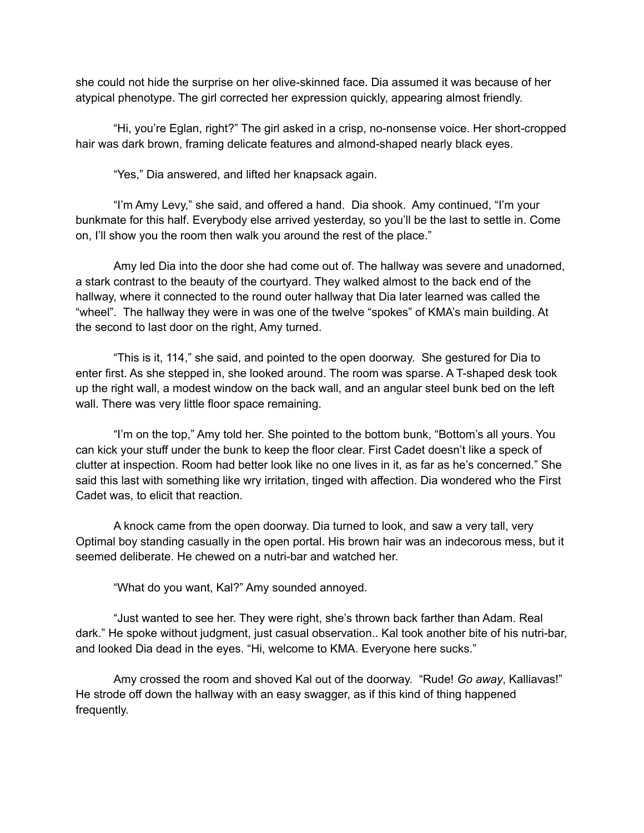she could not hide the surprise on her olive-skinned face. Dia assumed it was because of her atypical phenotype. The girl corrected her expression quickly, appearing almost friendly.

"Hi, you're Eglan, right?" The girl asked in a crisp, no-nonsense voice. Her short-cropped hair was dark brown, framing delicate features and almond-shaped nearly black eyes.

"Yes," Dia answered, and lifted her knapsack again.

"I'm Amy Levy," she said, and offered a hand. Dia shook. Amy continued, "I'm your bunkmate for this half. Everybody else arrived yesterday, so you'll be the last to settle in. Come on, I'll show you the room then walk you around the rest of the place."

Amy led Dia into the door she had come out of. The hallway was severe and unadorned, a stark contrast to the beauty of the courtyard. They walked almost to the back end of the hallway, where it connected to the round outer hallway that Dia later learned was called the "wheel". The hallway they were in was one of the twelve "spokes" of KMA's main building. At the second to last door on the right, Amy turned.

"This is it, 114," she said, and pointed to the open doorway. She gestured for Dia to enter first. As she stepped in, she looked around. The room was sparse. A T-shaped desk took up the right wall, a modest window on the back wall, and an angular steel bunk bed on the left wall. There was very little floor space remaining.

"I'm on the top," Amy told her. She pointed to the bottom bunk, "Bottom's all yours. You can kick your stuff under the bunk to keep the floor clear. First Cadet doesn't like a speck of clutter at inspection. Room had better look like no one lives in it, as far as he's concerned." She said this last with something like wry irritation, tinged with affection. Dia wondered who the First Cadet was, to elicit that reaction.

A knock came from the open doorway. Dia turned to look, and saw a very tall, very Optimal boy standing casually in the open portal. His brown hair was an indecorous mess, but it seemed deliberate. He chewed on a nutri-bar and watched her.

"What do you want, Kal?" Amy sounded annoyed.

"Just wanted to see her. They were right, she's thrown back farther than Adam. Real dark." He spoke without judgment, just casual observation.. Kal took another bite of his nutri-bar, and looked Dia dead in the eyes. "Hi, welcome to KMA. Everyone here sucks."

Amy crossed the room and shoved Kal out of the doorway. "Rude! *Go away*, Kalliavas!" He strode off down the hallway with an easy swagger, as if this kind of thing happened frequently.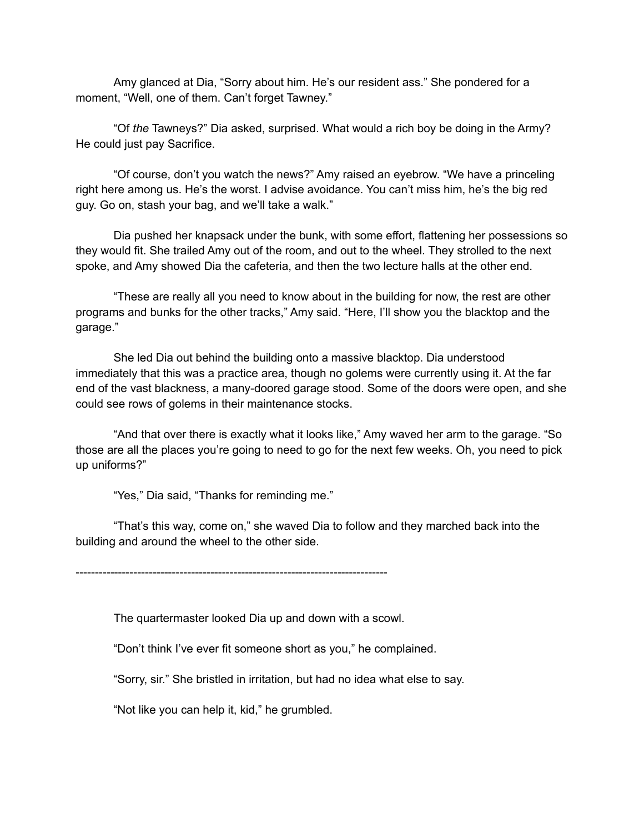Amy glanced at Dia, "Sorry about him. He's our resident ass." She pondered for a moment, "Well, one of them. Can't forget Tawney."

"Of *the* Tawneys?" Dia asked, surprised. What would a rich boy be doing in the Army? He could just pay Sacrifice.

"Of course, don't you watch the news?" Amy raised an eyebrow. "We have a princeling right here among us. He's the worst. I advise avoidance. You can't miss him, he's the big red guy. Go on, stash your bag, and we'll take a walk."

Dia pushed her knapsack under the bunk, with some effort, flattening her possessions so they would fit. She trailed Amy out of the room, and out to the wheel. They strolled to the next spoke, and Amy showed Dia the cafeteria, and then the two lecture halls at the other end.

"These are really all you need to know about in the building for now, the rest are other programs and bunks for the other tracks," Amy said. "Here, I'll show you the blacktop and the garage."

She led Dia out behind the building onto a massive blacktop. Dia understood immediately that this was a practice area, though no golems were currently using it. At the far end of the vast blackness, a many-doored garage stood. Some of the doors were open, and she could see rows of golems in their maintenance stocks.

"And that over there is exactly what it looks like," Amy waved her arm to the garage. "So those are all the places you're going to need to go for the next few weeks. Oh, you need to pick up uniforms?"

"Yes," Dia said, "Thanks for reminding me."

"That's this way, come on," she waved Dia to follow and they marched back into the building and around the wheel to the other side.

---------------------------------------------------------------------------------

The quartermaster looked Dia up and down with a scowl.

"Don't think I've ever fit someone short as you," he complained.

"Sorry, sir." She bristled in irritation, but had no idea what else to say.

"Not like you can help it, kid," he grumbled.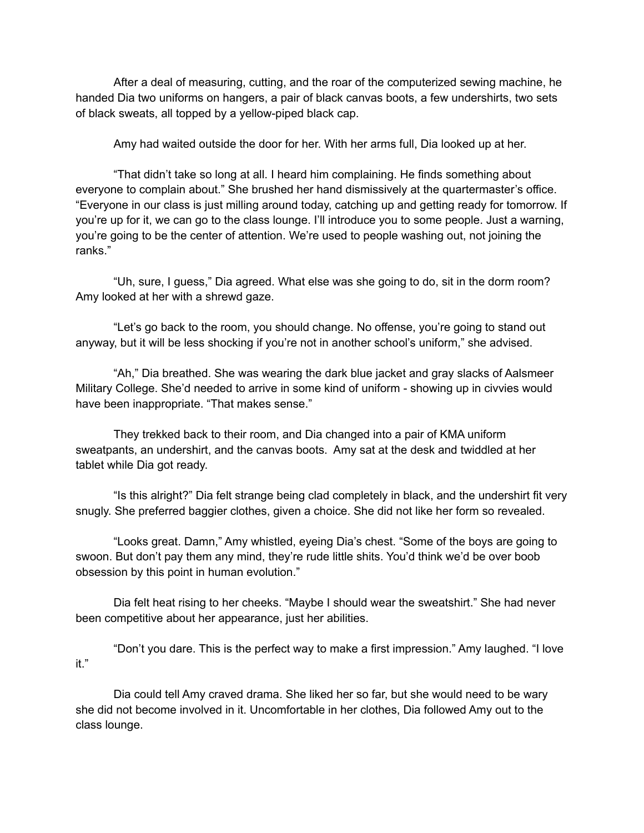After a deal of measuring, cutting, and the roar of the computerized sewing machine, he handed Dia two uniforms on hangers, a pair of black canvas boots, a few undershirts, two sets of black sweats, all topped by a yellow-piped black cap.

Amy had waited outside the door for her. With her arms full, Dia looked up at her.

"That didn't take so long at all. I heard him complaining. He finds something about everyone to complain about." She brushed her hand dismissively at the quartermaster's office. "Everyone in our class is just milling around today, catching up and getting ready for tomorrow. If you're up for it, we can go to the class lounge. I'll introduce you to some people. Just a warning, you're going to be the center of attention. We're used to people washing out, not joining the ranks."

"Uh, sure, I guess," Dia agreed. What else was she going to do, sit in the dorm room? Amy looked at her with a shrewd gaze.

"Let's go back to the room, you should change. No offense, you're going to stand out anyway, but it will be less shocking if you're not in another school's uniform," she advised.

"Ah," Dia breathed. She was wearing the dark blue jacket and gray slacks of Aalsmeer Military College. She'd needed to arrive in some kind of uniform - showing up in civvies would have been inappropriate. "That makes sense."

They trekked back to their room, and Dia changed into a pair of KMA uniform sweatpants, an undershirt, and the canvas boots. Amy sat at the desk and twiddled at her tablet while Dia got ready.

"Is this alright?" Dia felt strange being clad completely in black, and the undershirt fit very snugly. She preferred baggier clothes, given a choice. She did not like her form so revealed.

"Looks great. Damn," Amy whistled, eyeing Dia's chest. "Some of the boys are going to swoon. But don't pay them any mind, they're rude little shits. You'd think we'd be over boob obsession by this point in human evolution."

Dia felt heat rising to her cheeks. "Maybe I should wear the sweatshirt." She had never been competitive about her appearance, just her abilities.

"Don't you dare. This is the perfect way to make a first impression." Amy laughed. "I love it."

Dia could tell Amy craved drama. She liked her so far, but she would need to be wary she did not become involved in it. Uncomfortable in her clothes, Dia followed Amy out to the class lounge.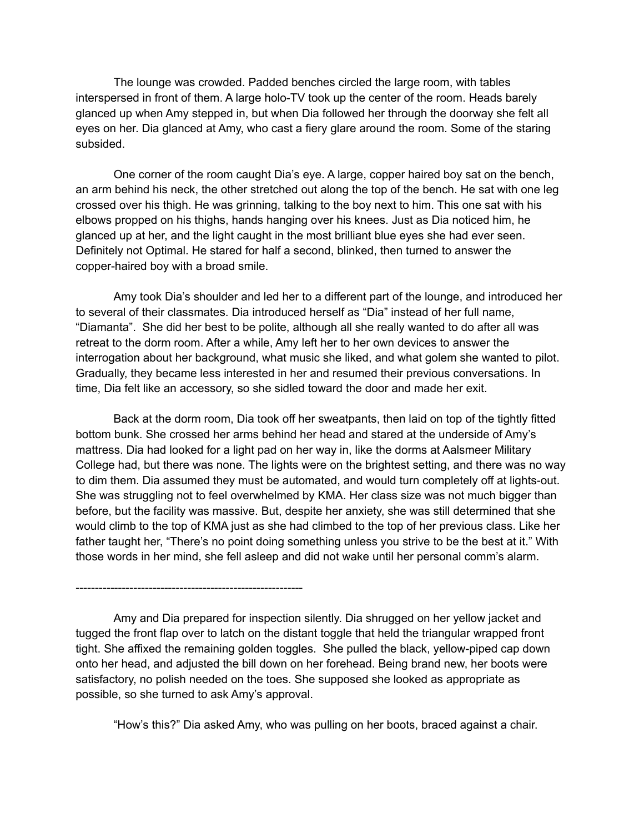The lounge was crowded. Padded benches circled the large room, with tables interspersed in front of them. A large holo-TV took up the center of the room. Heads barely glanced up when Amy stepped in, but when Dia followed her through the doorway she felt all eyes on her. Dia glanced at Amy, who cast a fiery glare around the room. Some of the staring subsided.

One corner of the room caught Dia's eye. A large, copper haired boy sat on the bench, an arm behind his neck, the other stretched out along the top of the bench. He sat with one leg crossed over his thigh. He was grinning, talking to the boy next to him. This one sat with his elbows propped on his thighs, hands hanging over his knees. Just as Dia noticed him, he glanced up at her, and the light caught in the most brilliant blue eyes she had ever seen. Definitely not Optimal. He stared for half a second, blinked, then turned to answer the copper-haired boy with a broad smile.

Amy took Dia's shoulder and led her to a different part of the lounge, and introduced her to several of their classmates. Dia introduced herself as "Dia" instead of her full name, "Diamanta". She did her best to be polite, although all she really wanted to do after all was retreat to the dorm room. After a while, Amy left her to her own devices to answer the interrogation about her background, what music she liked, and what golem she wanted to pilot. Gradually, they became less interested in her and resumed their previous conversations. In time, Dia felt like an accessory, so she sidled toward the door and made her exit.

Back at the dorm room, Dia took off her sweatpants, then laid on top of the tightly fitted bottom bunk. She crossed her arms behind her head and stared at the underside of Amy's mattress. Dia had looked for a light pad on her way in, like the dorms at Aalsmeer Military College had, but there was none. The lights were on the brightest setting, and there was no way to dim them. Dia assumed they must be automated, and would turn completely off at lights-out. She was struggling not to feel overwhelmed by KMA. Her class size was not much bigger than before, but the facility was massive. But, despite her anxiety, she was still determined that she would climb to the top of KMA just as she had climbed to the top of her previous class. Like her father taught her, "There's no point doing something unless you strive to be the best at it." With those words in her mind, she fell asleep and did not wake until her personal comm's alarm.

-----------------------------------------------------------

Amy and Dia prepared for inspection silently. Dia shrugged on her yellow jacket and tugged the front flap over to latch on the distant toggle that held the triangular wrapped front tight. She affixed the remaining golden toggles. She pulled the black, yellow-piped cap down onto her head, and adjusted the bill down on her forehead. Being brand new, her boots were satisfactory, no polish needed on the toes. She supposed she looked as appropriate as possible, so she turned to ask Amy's approval.

"How's this?" Dia asked Amy, who was pulling on her boots, braced against a chair.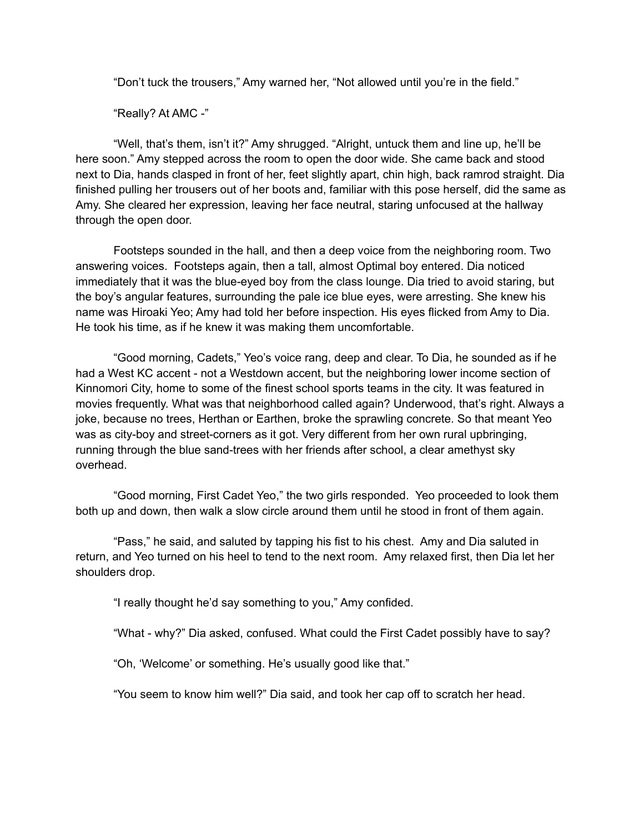"Don't tuck the trousers," Amy warned her, "Not allowed until you're in the field."

"Really? At AMC -"

"Well, that's them, isn't it?" Amy shrugged. "Alright, untuck them and line up, he'll be here soon." Amy stepped across the room to open the door wide. She came back and stood next to Dia, hands clasped in front of her, feet slightly apart, chin high, back ramrod straight. Dia finished pulling her trousers out of her boots and, familiar with this pose herself, did the same as Amy. She cleared her expression, leaving her face neutral, staring unfocused at the hallway through the open door.

Footsteps sounded in the hall, and then a deep voice from the neighboring room. Two answering voices. Footsteps again, then a tall, almost Optimal boy entered. Dia noticed immediately that it was the blue-eyed boy from the class lounge. Dia tried to avoid staring, but the boy's angular features, surrounding the pale ice blue eyes, were arresting. She knew his name was Hiroaki Yeo; Amy had told her before inspection. His eyes flicked from Amy to Dia. He took his time, as if he knew it was making them uncomfortable.

"Good morning, Cadets," Yeo's voice rang, deep and clear. To Dia, he sounded as if he had a West KC accent - not a Westdown accent, but the neighboring lower income section of Kinnomori City, home to some of the finest school sports teams in the city. It was featured in movies frequently. What was that neighborhood called again? Underwood, that's right. Always a joke, because no trees, Herthan or Earthen, broke the sprawling concrete. So that meant Yeo was as city-boy and street-corners as it got. Very different from her own rural upbringing, running through the blue sand-trees with her friends after school, a clear amethyst sky overhead.

"Good morning, First Cadet Yeo," the two girls responded. Yeo proceeded to look them both up and down, then walk a slow circle around them until he stood in front of them again.

"Pass," he said, and saluted by tapping his fist to his chest. Amy and Dia saluted in return, and Yeo turned on his heel to tend to the next room. Amy relaxed first, then Dia let her shoulders drop.

"I really thought he'd say something to you," Amy confided.

"What - why?" Dia asked, confused. What could the First Cadet possibly have to say?

"Oh, 'Welcome' or something. He's usually good like that."

"You seem to know him well?" Dia said, and took her cap off to scratch her head.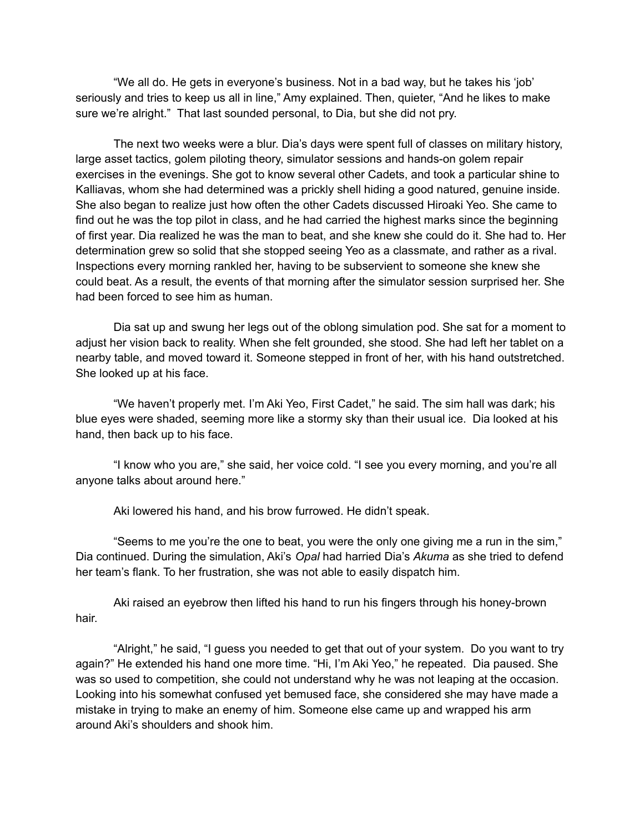"We all do. He gets in everyone's business. Not in a bad way, but he takes his 'job' seriously and tries to keep us all in line," Amy explained. Then, quieter, "And he likes to make sure we're alright." That last sounded personal, to Dia, but she did not pry.

The next two weeks were a blur. Dia's days were spent full of classes on military history, large asset tactics, golem piloting theory, simulator sessions and hands-on golem repair exercises in the evenings. She got to know several other Cadets, and took a particular shine to Kalliavas, whom she had determined was a prickly shell hiding a good natured, genuine inside. She also began to realize just how often the other Cadets discussed Hiroaki Yeo. She came to find out he was the top pilot in class, and he had carried the highest marks since the beginning of first year. Dia realized he was the man to beat, and she knew she could do it. She had to. Her determination grew so solid that she stopped seeing Yeo as a classmate, and rather as a rival. Inspections every morning rankled her, having to be subservient to someone she knew she could beat. As a result, the events of that morning after the simulator session surprised her. She had been forced to see him as human.

Dia sat up and swung her legs out of the oblong simulation pod. She sat for a moment to adjust her vision back to reality. When she felt grounded, she stood. She had left her tablet on a nearby table, and moved toward it. Someone stepped in front of her, with his hand outstretched. She looked up at his face.

"We haven't properly met. I'm Aki Yeo, First Cadet," he said. The sim hall was dark; his blue eyes were shaded, seeming more like a stormy sky than their usual ice. Dia looked at his hand, then back up to his face.

"I know who you are," she said, her voice cold. "I see you every morning, and you're all anyone talks about around here."

Aki lowered his hand, and his brow furrowed. He didn't speak.

"Seems to me you're the one to beat, you were the only one giving me a run in the sim," Dia continued. During the simulation, Aki's *Opal* had harried Dia's *Akuma* as she tried to defend her team's flank. To her frustration, she was not able to easily dispatch him.

Aki raised an eyebrow then lifted his hand to run his fingers through his honey-brown hair.

"Alright," he said, "I guess you needed to get that out of your system. Do you want to try again?" He extended his hand one more time. "Hi, I'm Aki Yeo," he repeated. Dia paused. She was so used to competition, she could not understand why he was not leaping at the occasion. Looking into his somewhat confused yet bemused face, she considered she may have made a mistake in trying to make an enemy of him. Someone else came up and wrapped his arm around Aki's shoulders and shook him.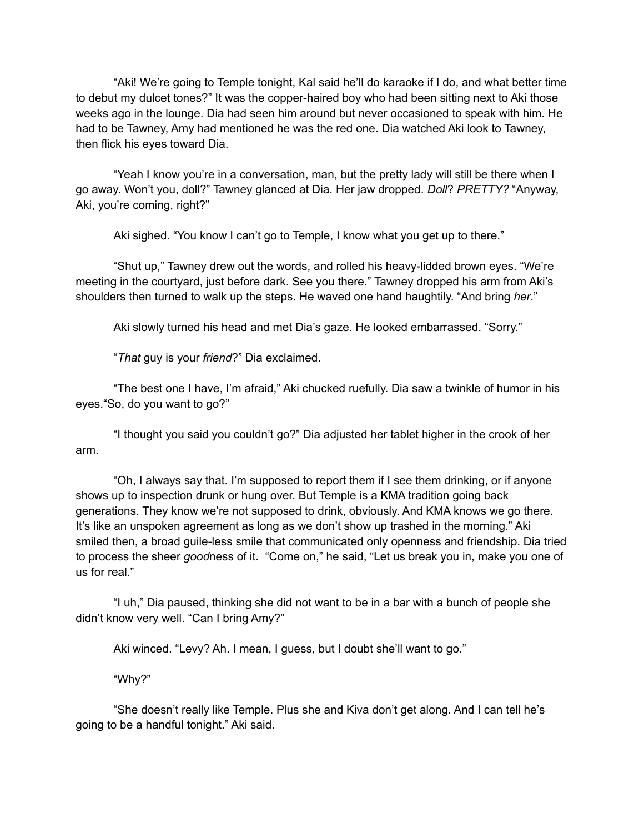"Aki! We're going to Temple tonight, Kal said he'll do karaoke if I do, and what better time to debut my dulcet tones?" It was the copper-haired boy who had been sitting next to Aki those weeks ago in the lounge. Dia had seen him around but never occasioned to speak with him. He had to be Tawney, Amy had mentioned he was the red one. Dia watched Aki look to Tawney, then flick his eyes toward Dia.

"Yeah I know you're in a conversation, man, but the pretty lady will still be there when I go away. Won't you, doll?" Tawney glanced at Dia. Her jaw dropped. *Doll*? *PRETTY?* "Anyway, Aki, you're coming, right?"

Aki sighed. "You know I can't go to Temple, I know what you get up to there."

"Shut up," Tawney drew out the words, and rolled his heavy-lidded brown eyes. "We're meeting in the courtyard, just before dark. See you there." Tawney dropped his arm from Aki's shoulders then turned to walk up the steps. He waved one hand haughtily. "And bring *her*."

Aki slowly turned his head and met Dia's gaze. He looked embarrassed. "Sorry."

"*That* guy is your *friend*?" Dia exclaimed.

"The best one I have, I'm afraid," Aki chucked ruefully. Dia saw a twinkle of humor in his eyes."So, do you want to go?"

"I thought you said you couldn't go?" Dia adjusted her tablet higher in the crook of her arm.

"Oh, I always say that. I'm supposed to report them if I see them drinking, or if anyone shows up to inspection drunk or hung over. But Temple is a KMA tradition going back generations. They know we're not supposed to drink, obviously. And KMA knows we go there. It's like an unspoken agreement as long as we don't show up trashed in the morning." Aki smiled then, a broad guile-less smile that communicated only openness and friendship. Dia tried to process the sheer *good*ness of it. "Come on," he said, "Let us break you in, make you one of us for real."

"I uh," Dia paused, thinking she did not want to be in a bar with a bunch of people she didn't know very well. "Can I bring Amy?"

Aki winced. "Levy? Ah. I mean, I guess, but I doubt she'll want to go."

"Why?"

"She doesn't really like Temple. Plus she and Kiva don't get along. And I can tell he's going to be a handful tonight." Aki said.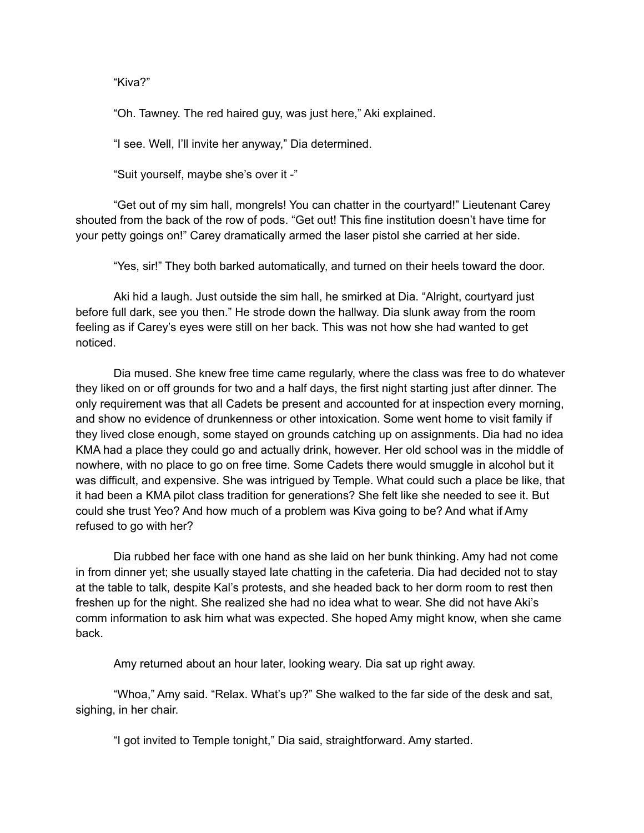"Kiva?"

"Oh. Tawney. The red haired guy, was just here," Aki explained.

"I see. Well, I'll invite her anyway," Dia determined.

"Suit yourself, maybe she's over it -"

"Get out of my sim hall, mongrels! You can chatter in the courtyard!" Lieutenant Carey shouted from the back of the row of pods. "Get out! This fine institution doesn't have time for your petty goings on!" Carey dramatically armed the laser pistol she carried at her side.

"Yes, sir!" They both barked automatically, and turned on their heels toward the door.

Aki hid a laugh. Just outside the sim hall, he smirked at Dia. "Alright, courtyard just before full dark, see you then." He strode down the hallway. Dia slunk away from the room feeling as if Carey's eyes were still on her back. This was not how she had wanted to get noticed.

Dia mused. She knew free time came regularly, where the class was free to do whatever they liked on or off grounds for two and a half days, the first night starting just after dinner. The only requirement was that all Cadets be present and accounted for at inspection every morning, and show no evidence of drunkenness or other intoxication. Some went home to visit family if they lived close enough, some stayed on grounds catching up on assignments. Dia had no idea KMA had a place they could go and actually drink, however. Her old school was in the middle of nowhere, with no place to go on free time. Some Cadets there would smuggle in alcohol but it was difficult, and expensive. She was intrigued by Temple. What could such a place be like, that it had been a KMA pilot class tradition for generations? She felt like she needed to see it. But could she trust Yeo? And how much of a problem was Kiva going to be? And what if Amy refused to go with her?

Dia rubbed her face with one hand as she laid on her bunk thinking. Amy had not come in from dinner yet; she usually stayed late chatting in the cafeteria. Dia had decided not to stay at the table to talk, despite Kal's protests, and she headed back to her dorm room to rest then freshen up for the night. She realized she had no idea what to wear. She did not have Aki's comm information to ask him what was expected. She hoped Amy might know, when she came back.

Amy returned about an hour later, looking weary. Dia sat up right away.

"Whoa," Amy said. "Relax. What's up?" She walked to the far side of the desk and sat, sighing, in her chair.

"I got invited to Temple tonight," Dia said, straightforward. Amy started.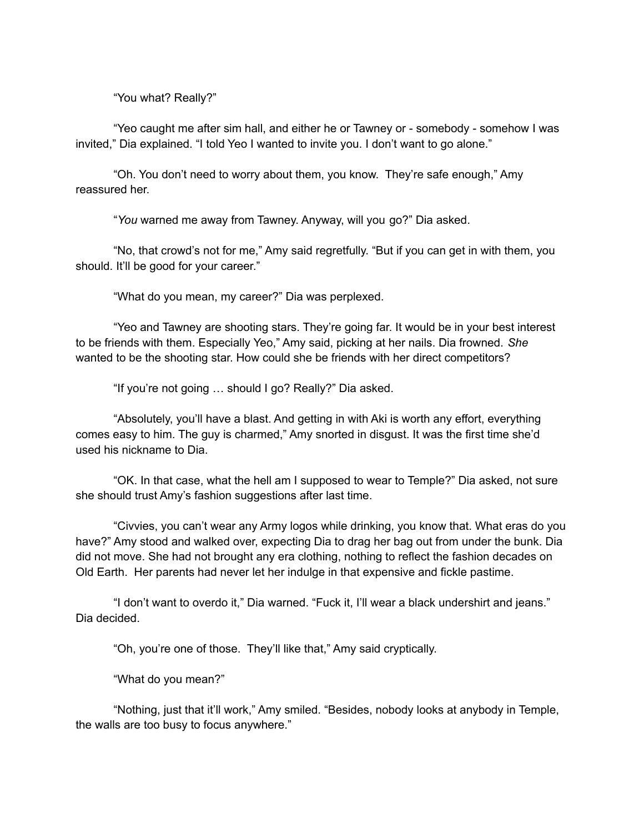"You what? Really?"

"Yeo caught me after sim hall, and either he or Tawney or - somebody - somehow I was invited," Dia explained. "I told Yeo I wanted to invite you. I don't want to go alone."

"Oh. You don't need to worry about them, you know. They're safe enough," Amy reassured her.

"*You* warned me away from Tawney. Anyway, will you go?" Dia asked.

"No, that crowd's not for me," Amy said regretfully. "But if you can get in with them, you should. It'll be good for your career."

"What do you mean, my career?" Dia was perplexed.

"Yeo and Tawney are shooting stars. They're going far. It would be in your best interest to be friends with them. Especially Yeo," Amy said, picking at her nails. Dia frowned. *She* wanted to be the shooting star. How could she be friends with her direct competitors?

"If you're not going … should I go? Really?" Dia asked.

"Absolutely, you'll have a blast. And getting in with Aki is worth any effort, everything comes easy to him. The guy is charmed," Amy snorted in disgust. It was the first time she'd used his nickname to Dia.

"OK. In that case, what the hell am I supposed to wear to Temple?" Dia asked, not sure she should trust Amy's fashion suggestions after last time.

"Civvies, you can't wear any Army logos while drinking, you know that. What eras do you have?" Amy stood and walked over, expecting Dia to drag her bag out from under the bunk. Dia did not move. She had not brought any era clothing, nothing to reflect the fashion decades on Old Earth. Her parents had never let her indulge in that expensive and fickle pastime.

"I don't want to overdo it," Dia warned. "Fuck it, I'll wear a black undershirt and jeans." Dia decided.

"Oh, you're one of those. They'll like that," Amy said cryptically.

"What do you mean?"

"Nothing, just that it'll work," Amy smiled. "Besides, nobody looks at anybody in Temple, the walls are too busy to focus anywhere."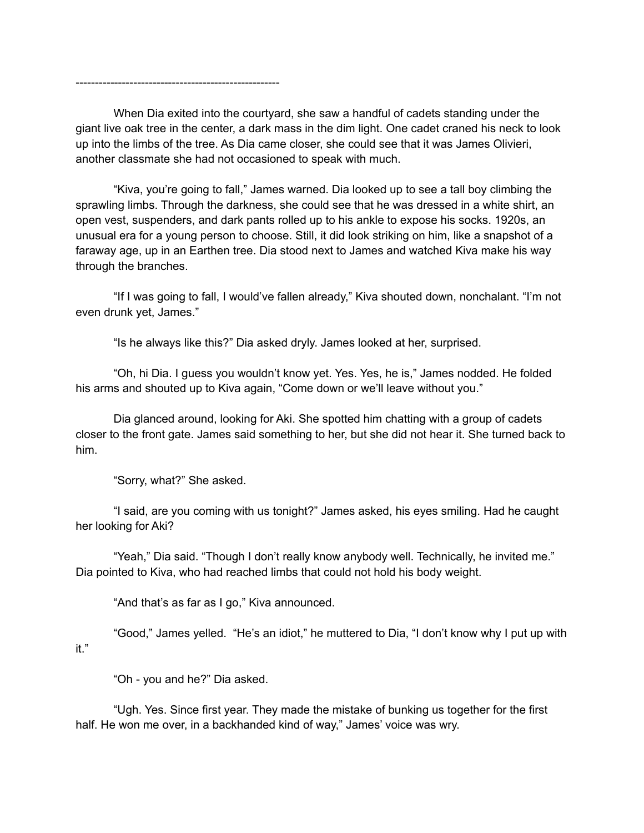-----------------------------------------------------

When Dia exited into the courtyard, she saw a handful of cadets standing under the giant live oak tree in the center, a dark mass in the dim light. One cadet craned his neck to look up into the limbs of the tree. As Dia came closer, she could see that it was James Olivieri, another classmate she had not occasioned to speak with much.

"Kiva, you're going to fall," James warned. Dia looked up to see a tall boy climbing the sprawling limbs. Through the darkness, she could see that he was dressed in a white shirt, an open vest, suspenders, and dark pants rolled up to his ankle to expose his socks. 1920s, an unusual era for a young person to choose. Still, it did look striking on him, like a snapshot of a faraway age, up in an Earthen tree. Dia stood next to James and watched Kiva make his way through the branches.

"If I was going to fall, I would've fallen already," Kiva shouted down, nonchalant. "I'm not even drunk yet, James."

"Is he always like this?" Dia asked dryly. James looked at her, surprised.

"Oh, hi Dia. I guess you wouldn't know yet. Yes. Yes, he is," James nodded. He folded his arms and shouted up to Kiva again, "Come down or we'll leave without you."

Dia glanced around, looking for Aki. She spotted him chatting with a group of cadets closer to the front gate. James said something to her, but she did not hear it. She turned back to him.

"Sorry, what?" She asked.

"I said, are you coming with us tonight?" James asked, his eyes smiling. Had he caught her looking for Aki?

"Yeah," Dia said. "Though I don't really know anybody well. Technically, he invited me." Dia pointed to Kiva, who had reached limbs that could not hold his body weight.

"And that's as far as I go," Kiva announced.

"Good," James yelled. "He's an idiot," he muttered to Dia, "I don't know why I put up with it."

"Oh - you and he?" Dia asked.

"Ugh. Yes. Since first year. They made the mistake of bunking us together for the first half. He won me over, in a backhanded kind of way," James' voice was wry.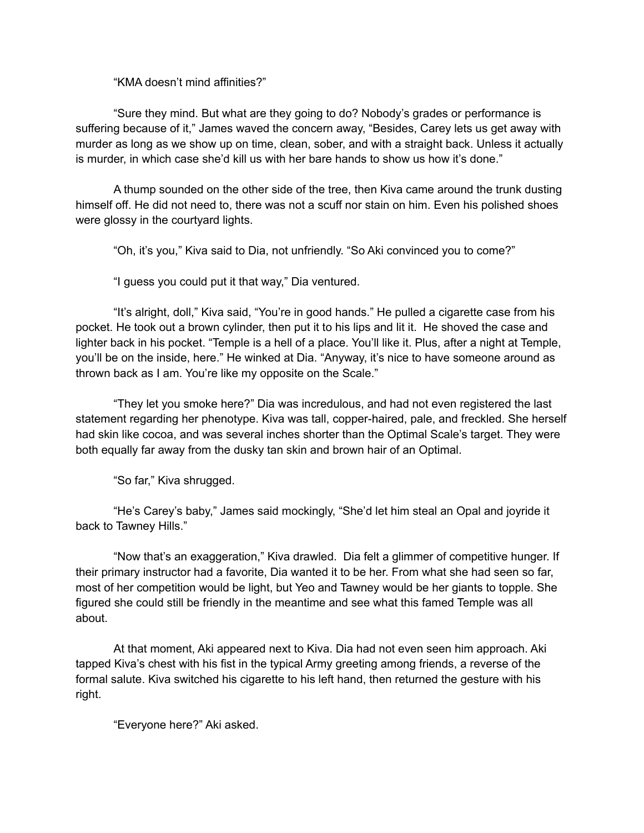"KMA doesn't mind affinities?"

"Sure they mind. But what are they going to do? Nobody's grades or performance is suffering because of it," James waved the concern away, "Besides, Carey lets us get away with murder as long as we show up on time, clean, sober, and with a straight back. Unless it actually is murder, in which case she'd kill us with her bare hands to show us how it's done."

A thump sounded on the other side of the tree, then Kiva came around the trunk dusting himself off. He did not need to, there was not a scuff nor stain on him. Even his polished shoes were glossy in the courtyard lights.

"Oh, it's you," Kiva said to Dia, not unfriendly. "So Aki convinced you to come?"

"I guess you could put it that way," Dia ventured.

"It's alright, doll," Kiva said, "You're in good hands." He pulled a cigarette case from his pocket. He took out a brown cylinder, then put it to his lips and lit it. He shoved the case and lighter back in his pocket. "Temple is a hell of a place. You'll like it. Plus, after a night at Temple, you'll be on the inside, here." He winked at Dia. "Anyway, it's nice to have someone around as thrown back as I am. You're like my opposite on the Scale."

"They let you smoke here?" Dia was incredulous, and had not even registered the last statement regarding her phenotype. Kiva was tall, copper-haired, pale, and freckled. She herself had skin like cocoa, and was several inches shorter than the Optimal Scale's target. They were both equally far away from the dusky tan skin and brown hair of an Optimal.

"So far," Kiva shrugged.

"He's Carey's baby," James said mockingly, "She'd let him steal an Opal and joyride it back to Tawney Hills."

"Now that's an exaggeration," Kiva drawled. Dia felt a glimmer of competitive hunger. If their primary instructor had a favorite, Dia wanted it to be her. From what she had seen so far, most of her competition would be light, but Yeo and Tawney would be her giants to topple. She figured she could still be friendly in the meantime and see what this famed Temple was all about.

At that moment, Aki appeared next to Kiva. Dia had not even seen him approach. Aki tapped Kiva's chest with his fist in the typical Army greeting among friends, a reverse of the formal salute. Kiva switched his cigarette to his left hand, then returned the gesture with his right.

"Everyone here?" Aki asked.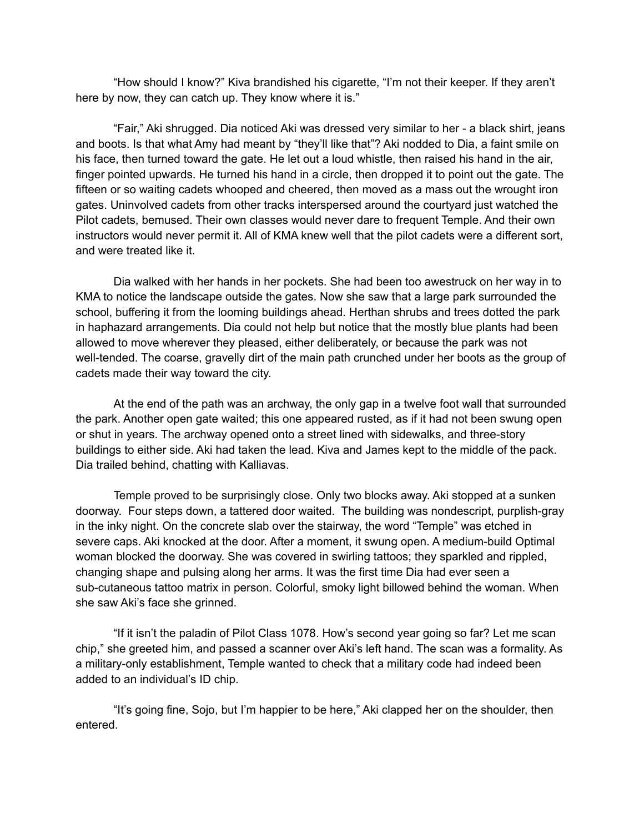"How should I know?" Kiva brandished his cigarette, "I'm not their keeper. If they aren't here by now, they can catch up. They know where it is."

"Fair," Aki shrugged. Dia noticed Aki was dressed very similar to her - a black shirt, jeans and boots. Is that what Amy had meant by "they'll like that"? Aki nodded to Dia, a faint smile on his face, then turned toward the gate. He let out a loud whistle, then raised his hand in the air, finger pointed upwards. He turned his hand in a circle, then dropped it to point out the gate. The fifteen or so waiting cadets whooped and cheered, then moved as a mass out the wrought iron gates. Uninvolved cadets from other tracks interspersed around the courtyard just watched the Pilot cadets, bemused. Their own classes would never dare to frequent Temple. And their own instructors would never permit it. All of KMA knew well that the pilot cadets were a different sort, and were treated like it.

Dia walked with her hands in her pockets. She had been too awestruck on her way in to KMA to notice the landscape outside the gates. Now she saw that a large park surrounded the school, buffering it from the looming buildings ahead. Herthan shrubs and trees dotted the park in haphazard arrangements. Dia could not help but notice that the mostly blue plants had been allowed to move wherever they pleased, either deliberately, or because the park was not well-tended. The coarse, gravelly dirt of the main path crunched under her boots as the group of cadets made their way toward the city.

At the end of the path was an archway, the only gap in a twelve foot wall that surrounded the park. Another open gate waited; this one appeared rusted, as if it had not been swung open or shut in years. The archway opened onto a street lined with sidewalks, and three-story buildings to either side. Aki had taken the lead. Kiva and James kept to the middle of the pack. Dia trailed behind, chatting with Kalliavas.

Temple proved to be surprisingly close. Only two blocks away. Aki stopped at a sunken doorway. Four steps down, a tattered door waited. The building was nondescript, purplish-gray in the inky night. On the concrete slab over the stairway, the word "Temple" was etched in severe caps. Aki knocked at the door. After a moment, it swung open. A medium-build Optimal woman blocked the doorway. She was covered in swirling tattoos; they sparkled and rippled, changing shape and pulsing along her arms. It was the first time Dia had ever seen a sub-cutaneous tattoo matrix in person. Colorful, smoky light billowed behind the woman. When she saw Aki's face she grinned.

"If it isn't the paladin of Pilot Class 1078. How's second year going so far? Let me scan chip," she greeted him, and passed a scanner over Aki's left hand. The scan was a formality. As a military-only establishment, Temple wanted to check that a military code had indeed been added to an individual's ID chip.

"It's going fine, Sojo, but I'm happier to be here," Aki clapped her on the shoulder, then entered.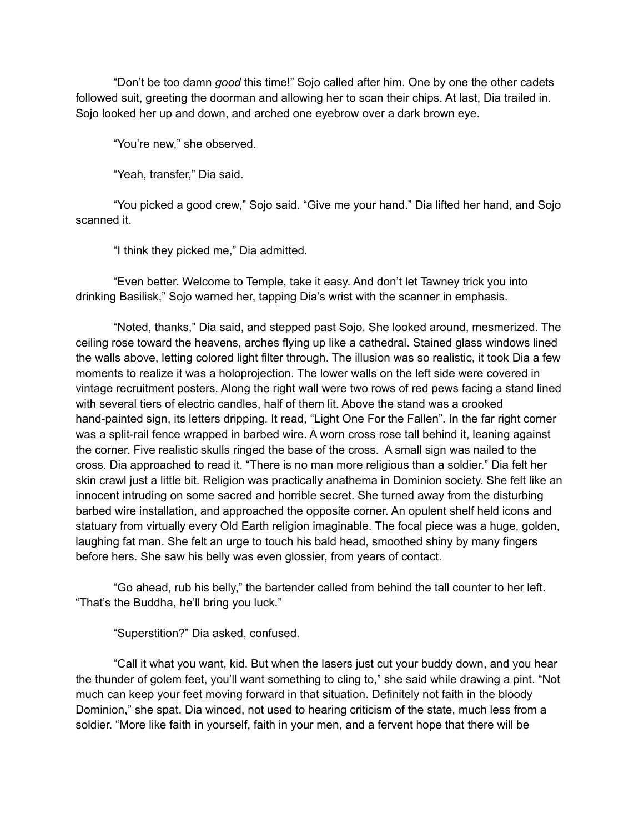"Don't be too damn *good* this time!" Sojo called after him. One by one the other cadets followed suit, greeting the doorman and allowing her to scan their chips. At last, Dia trailed in. Sojo looked her up and down, and arched one eyebrow over a dark brown eye.

"You're new," she observed.

"Yeah, transfer," Dia said.

"You picked a good crew," Sojo said. "Give me your hand." Dia lifted her hand, and Sojo scanned it.

"I think they picked me," Dia admitted.

"Even better. Welcome to Temple, take it easy. And don't let Tawney trick you into drinking Basilisk," Sojo warned her, tapping Dia's wrist with the scanner in emphasis.

"Noted, thanks," Dia said, and stepped past Sojo. She looked around, mesmerized. The ceiling rose toward the heavens, arches flying up like a cathedral. Stained glass windows lined the walls above, letting colored light filter through. The illusion was so realistic, it took Dia a few moments to realize it was a holoprojection. The lower walls on the left side were covered in vintage recruitment posters. Along the right wall were two rows of red pews facing a stand lined with several tiers of electric candles, half of them lit. Above the stand was a crooked hand-painted sign, its letters dripping. It read, "Light One For the Fallen". In the far right corner was a split-rail fence wrapped in barbed wire. A worn cross rose tall behind it, leaning against the corner. Five realistic skulls ringed the base of the cross. A small sign was nailed to the cross. Dia approached to read it. "There is no man more religious than a soldier." Dia felt her skin crawl just a little bit. Religion was practically anathema in Dominion society. She felt like an innocent intruding on some sacred and horrible secret. She turned away from the disturbing barbed wire installation, and approached the opposite corner. An opulent shelf held icons and statuary from virtually every Old Earth religion imaginable. The focal piece was a huge, golden, laughing fat man. She felt an urge to touch his bald head, smoothed shiny by many fingers before hers. She saw his belly was even glossier, from years of contact.

"Go ahead, rub his belly," the bartender called from behind the tall counter to her left. "That's the Buddha, he'll bring you luck."

"Superstition?" Dia asked, confused.

"Call it what you want, kid. But when the lasers just cut your buddy down, and you hear the thunder of golem feet, you'll want something to cling to," she said while drawing a pint. "Not much can keep your feet moving forward in that situation. Definitely not faith in the bloody Dominion," she spat. Dia winced, not used to hearing criticism of the state, much less from a soldier. "More like faith in yourself, faith in your men, and a fervent hope that there will be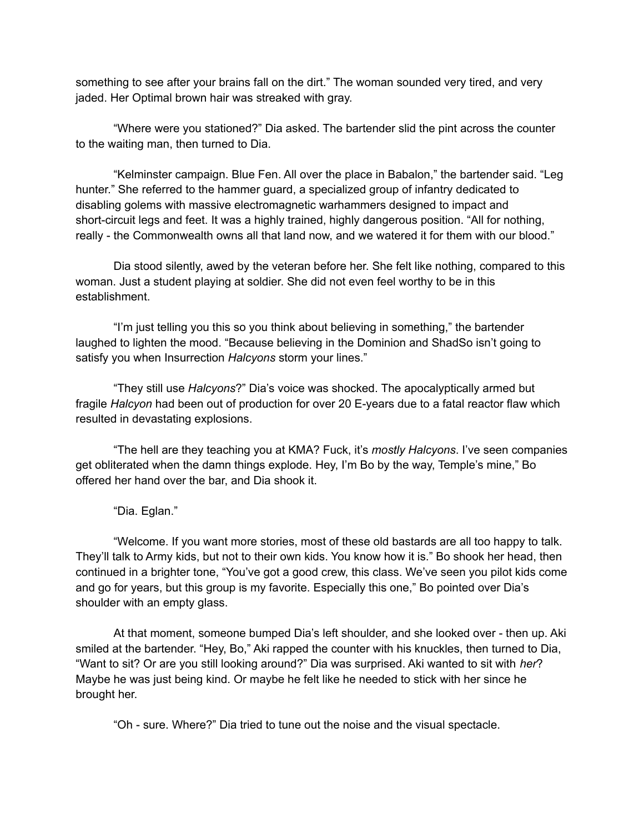something to see after your brains fall on the dirt." The woman sounded very tired, and very jaded. Her Optimal brown hair was streaked with gray.

"Where were you stationed?" Dia asked. The bartender slid the pint across the counter to the waiting man, then turned to Dia.

"Kelminster campaign. Blue Fen. All over the place in Babalon," the bartender said. "Leg hunter." She referred to the hammer guard, a specialized group of infantry dedicated to disabling golems with massive electromagnetic warhammers designed to impact and short-circuit legs and feet. It was a highly trained, highly dangerous position. "All for nothing, really - the Commonwealth owns all that land now, and we watered it for them with our blood."

Dia stood silently, awed by the veteran before her. She felt like nothing, compared to this woman. Just a student playing at soldier. She did not even feel worthy to be in this establishment.

"I'm just telling you this so you think about believing in something," the bartender laughed to lighten the mood. "Because believing in the Dominion and ShadSo isn't going to satisfy you when Insurrection *Halcyons* storm your lines."

"They still use *Halcyons*?" Dia's voice was shocked. The apocalyptically armed but fragile *Halcyon* had been out of production for over 20 E-years due to a fatal reactor flaw which resulted in devastating explosions.

"The hell are they teaching you at KMA? Fuck, it's *mostly Halcyons*. I've seen companies get obliterated when the damn things explode. Hey, I'm Bo by the way, Temple's mine," Bo offered her hand over the bar, and Dia shook it.

"Dia. Eglan."

"Welcome. If you want more stories, most of these old bastards are all too happy to talk. They'll talk to Army kids, but not to their own kids. You know how it is." Bo shook her head, then continued in a brighter tone, "You've got a good crew, this class. We've seen you pilot kids come and go for years, but this group is my favorite. Especially this one," Bo pointed over Dia's shoulder with an empty glass.

At that moment, someone bumped Dia's left shoulder, and she looked over - then up. Aki smiled at the bartender. "Hey, Bo," Aki rapped the counter with his knuckles, then turned to Dia, "Want to sit? Or are you still looking around?" Dia was surprised. Aki wanted to sit with *her*? Maybe he was just being kind. Or maybe he felt like he needed to stick with her since he brought her.

"Oh - sure. Where?" Dia tried to tune out the noise and the visual spectacle.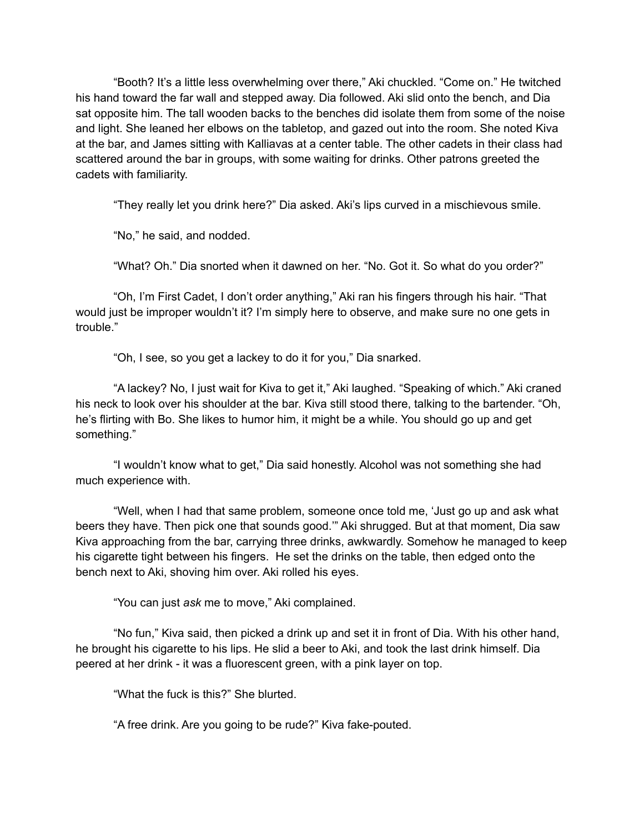"Booth? It's a little less overwhelming over there," Aki chuckled. "Come on." He twitched his hand toward the far wall and stepped away. Dia followed. Aki slid onto the bench, and Dia sat opposite him. The tall wooden backs to the benches did isolate them from some of the noise and light. She leaned her elbows on the tabletop, and gazed out into the room. She noted Kiva at the bar, and James sitting with Kalliavas at a center table. The other cadets in their class had scattered around the bar in groups, with some waiting for drinks. Other patrons greeted the cadets with familiarity.

"They really let you drink here?" Dia asked. Aki's lips curved in a mischievous smile.

"No," he said, and nodded.

"What? Oh." Dia snorted when it dawned on her. "No. Got it. So what do you order?"

"Oh, I'm First Cadet, I don't order anything," Aki ran his fingers through his hair. "That would just be improper wouldn't it? I'm simply here to observe, and make sure no one gets in trouble."

"Oh, I see, so you get a lackey to do it for you," Dia snarked.

"A lackey? No, I just wait for Kiva to get it," Aki laughed. "Speaking of which." Aki craned his neck to look over his shoulder at the bar. Kiva still stood there, talking to the bartender. "Oh, he's flirting with Bo. She likes to humor him, it might be a while. You should go up and get something."

"I wouldn't know what to get," Dia said honestly. Alcohol was not something she had much experience with.

"Well, when I had that same problem, someone once told me, 'Just go up and ask what beers they have. Then pick one that sounds good.'" Aki shrugged. But at that moment, Dia saw Kiva approaching from the bar, carrying three drinks, awkwardly. Somehow he managed to keep his cigarette tight between his fingers. He set the drinks on the table, then edged onto the bench next to Aki, shoving him over. Aki rolled his eyes.

"You can just *ask* me to move," Aki complained.

"No fun," Kiva said, then picked a drink up and set it in front of Dia. With his other hand, he brought his cigarette to his lips. He slid a beer to Aki, and took the last drink himself. Dia peered at her drink - it was a fluorescent green, with a pink layer on top.

"What the fuck is this?" She blurted.

"A free drink. Are you going to be rude?" Kiva fake-pouted.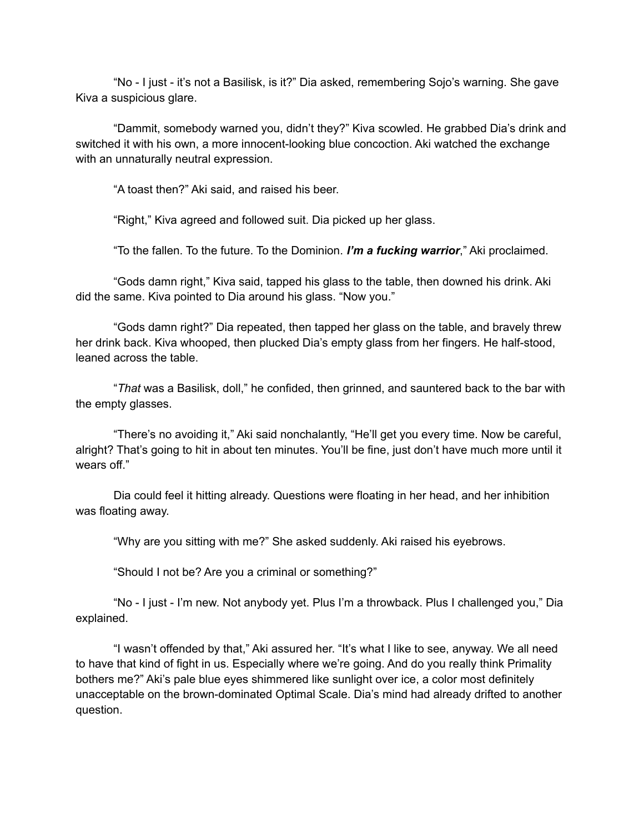"No - I just - it's not a Basilisk, is it?" Dia asked, remembering Sojo's warning. She gave Kiva a suspicious glare.

"Dammit, somebody warned you, didn't they?" Kiva scowled. He grabbed Dia's drink and switched it with his own, a more innocent-looking blue concoction. Aki watched the exchange with an unnaturally neutral expression.

"A toast then?" Aki said, and raised his beer.

"Right," Kiva agreed and followed suit. Dia picked up her glass.

"To the fallen. To the future. To the Dominion. *I'm a fucking warrior*," Aki proclaimed.

"Gods damn right," Kiva said, tapped his glass to the table, then downed his drink. Aki did the same. Kiva pointed to Dia around his glass. "Now you."

"Gods damn right?" Dia repeated, then tapped her glass on the table, and bravely threw her drink back. Kiva whooped, then plucked Dia's empty glass from her fingers. He half-stood, leaned across the table.

"*That* was a Basilisk, doll," he confided, then grinned, and sauntered back to the bar with the empty glasses.

"There's no avoiding it," Aki said nonchalantly, "He'll get you every time. Now be careful, alright? That's going to hit in about ten minutes. You'll be fine, just don't have much more until it wears off."

Dia could feel it hitting already. Questions were floating in her head, and her inhibition was floating away.

"Why are you sitting with me?" She asked suddenly. Aki raised his eyebrows.

"Should I not be? Are you a criminal or something?"

"No - I just - I'm new. Not anybody yet. Plus I'm a throwback. Plus I challenged you," Dia explained.

"I wasn't offended by that," Aki assured her. "It's what I like to see, anyway. We all need to have that kind of fight in us. Especially where we're going. And do you really think Primality bothers me?" Aki's pale blue eyes shimmered like sunlight over ice, a color most definitely unacceptable on the brown-dominated Optimal Scale. Dia's mind had already drifted to another question.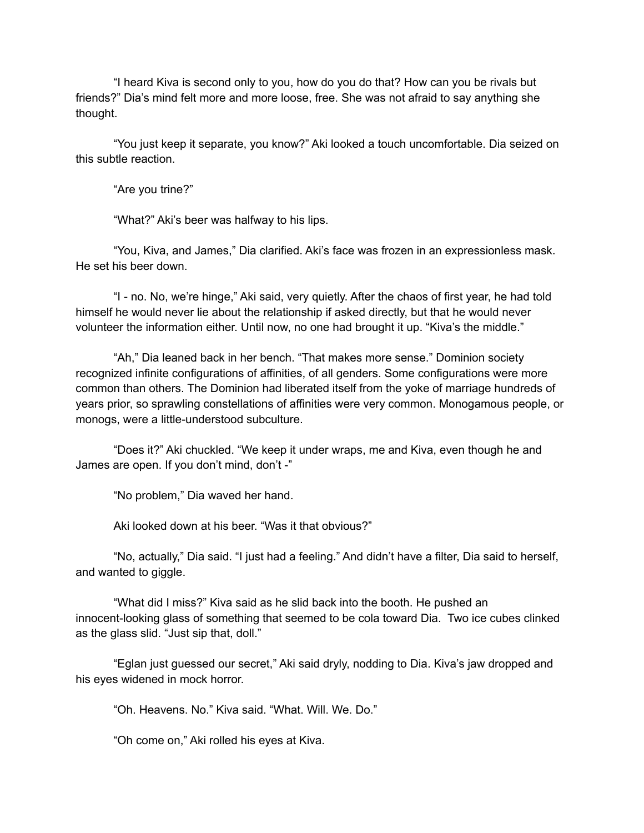"I heard Kiva is second only to you, how do you do that? How can you be rivals but friends?" Dia's mind felt more and more loose, free. She was not afraid to say anything she thought.

"You just keep it separate, you know?" Aki looked a touch uncomfortable. Dia seized on this subtle reaction.

"Are you trine?"

"What?" Aki's beer was halfway to his lips.

"You, Kiva, and James," Dia clarified. Aki's face was frozen in an expressionless mask. He set his beer down.

"I - no. No, we're hinge," Aki said, very quietly. After the chaos of first year, he had told himself he would never lie about the relationship if asked directly, but that he would never volunteer the information either. Until now, no one had brought it up. "Kiva's the middle."

"Ah," Dia leaned back in her bench. "That makes more sense." Dominion society recognized infinite configurations of affinities, of all genders. Some configurations were more common than others. The Dominion had liberated itself from the yoke of marriage hundreds of years prior, so sprawling constellations of affinities were very common. Monogamous people, or monogs, were a little-understood subculture.

"Does it?" Aki chuckled. "We keep it under wraps, me and Kiva, even though he and James are open. If you don't mind, don't -"

"No problem," Dia waved her hand.

Aki looked down at his beer. "Was it that obvious?"

"No, actually," Dia said. "I just had a feeling." And didn't have a filter, Dia said to herself, and wanted to giggle.

"What did I miss?" Kiva said as he slid back into the booth. He pushed an innocent-looking glass of something that seemed to be cola toward Dia. Two ice cubes clinked as the glass slid. "Just sip that, doll."

"Eglan just guessed our secret," Aki said dryly, nodding to Dia. Kiva's jaw dropped and his eyes widened in mock horror.

"Oh. Heavens. No." Kiva said. "What. Will. We. Do."

"Oh come on," Aki rolled his eyes at Kiva.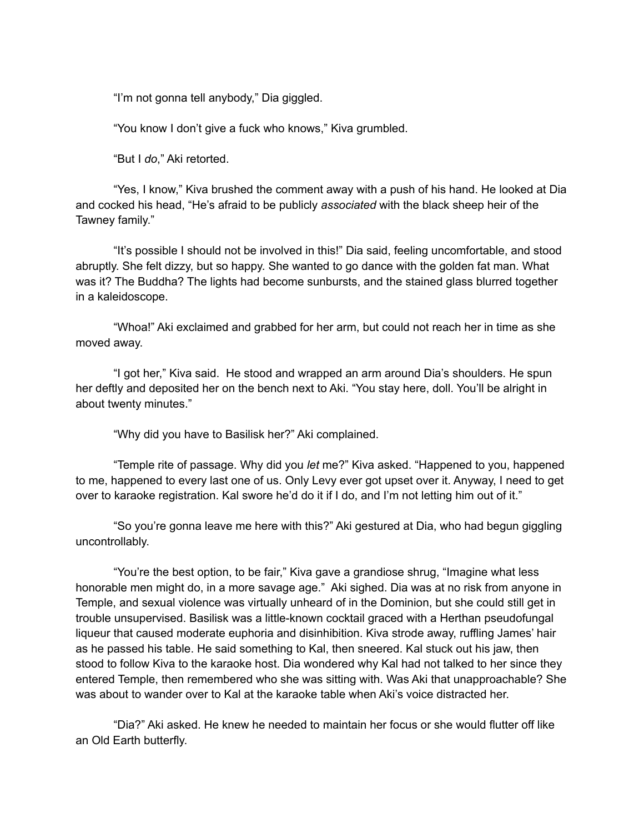"I'm not gonna tell anybody," Dia giggled.

"You know I don't give a fuck who knows," Kiva grumbled.

"But I *do*," Aki retorted.

"Yes, I know," Kiva brushed the comment away with a push of his hand. He looked at Dia and cocked his head, "He's afraid to be publicly *associated* with the black sheep heir of the Tawney family."

"It's possible I should not be involved in this!" Dia said, feeling uncomfortable, and stood abruptly. She felt dizzy, but so happy. She wanted to go dance with the golden fat man. What was it? The Buddha? The lights had become sunbursts, and the stained glass blurred together in a kaleidoscope.

"Whoa!" Aki exclaimed and grabbed for her arm, but could not reach her in time as she moved away.

"I got her," Kiva said. He stood and wrapped an arm around Dia's shoulders. He spun her deftly and deposited her on the bench next to Aki. "You stay here, doll. You'll be alright in about twenty minutes."

"Why did you have to Basilisk her?" Aki complained.

"Temple rite of passage. Why did you *let* me?" Kiva asked. "Happened to you, happened to me, happened to every last one of us. Only Levy ever got upset over it. Anyway, I need to get over to karaoke registration. Kal swore he'd do it if I do, and I'm not letting him out of it."

"So you're gonna leave me here with this?" Aki gestured at Dia, who had begun giggling uncontrollably.

"You're the best option, to be fair," Kiva gave a grandiose shrug, "Imagine what less honorable men might do, in a more savage age." Aki sighed. Dia was at no risk from anyone in Temple, and sexual violence was virtually unheard of in the Dominion, but she could still get in trouble unsupervised. Basilisk was a little-known cocktail graced with a Herthan pseudofungal liqueur that caused moderate euphoria and disinhibition. Kiva strode away, ruffling James' hair as he passed his table. He said something to Kal, then sneered. Kal stuck out his jaw, then stood to follow Kiva to the karaoke host. Dia wondered why Kal had not talked to her since they entered Temple, then remembered who she was sitting with. Was Aki that unapproachable? She was about to wander over to Kal at the karaoke table when Aki's voice distracted her.

"Dia?" Aki asked. He knew he needed to maintain her focus or she would flutter off like an Old Earth butterfly.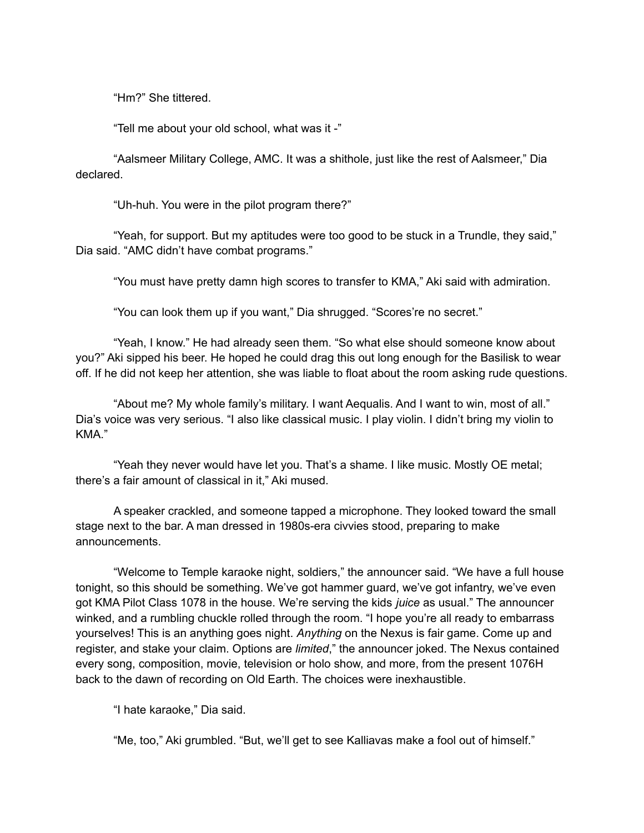"Hm?" She tittered.

"Tell me about your old school, what was it -"

"Aalsmeer Military College, AMC. It was a shithole, just like the rest of Aalsmeer," Dia declared.

"Uh-huh. You were in the pilot program there?"

"Yeah, for support. But my aptitudes were too good to be stuck in a Trundle, they said," Dia said. "AMC didn't have combat programs."

"You must have pretty damn high scores to transfer to KMA," Aki said with admiration.

"You can look them up if you want," Dia shrugged. "Scores're no secret."

"Yeah, I know." He had already seen them. "So what else should someone know about you?" Aki sipped his beer. He hoped he could drag this out long enough for the Basilisk to wear off. If he did not keep her attention, she was liable to float about the room asking rude questions.

"About me? My whole family's military. I want Aequalis. And I want to win, most of all." Dia's voice was very serious. "I also like classical music. I play violin. I didn't bring my violin to KMA."

"Yeah they never would have let you. That's a shame. I like music. Mostly OE metal; there's a fair amount of classical in it," Aki mused.

A speaker crackled, and someone tapped a microphone. They looked toward the small stage next to the bar. A man dressed in 1980s-era civvies stood, preparing to make announcements.

"Welcome to Temple karaoke night, soldiers," the announcer said. "We have a full house tonight, so this should be something. We've got hammer guard, we've got infantry, we've even got KMA Pilot Class 1078 in the house. We're serving the kids *juice* as usual." The announcer winked, and a rumbling chuckle rolled through the room. "I hope you're all ready to embarrass yourselves! This is an anything goes night. *Anything* on the Nexus is fair game. Come up and register, and stake your claim. Options are *limited*," the announcer joked. The Nexus contained every song, composition, movie, television or holo show, and more, from the present 1076H back to the dawn of recording on Old Earth. The choices were inexhaustible.

"I hate karaoke," Dia said.

"Me, too," Aki grumbled. "But, we'll get to see Kalliavas make a fool out of himself."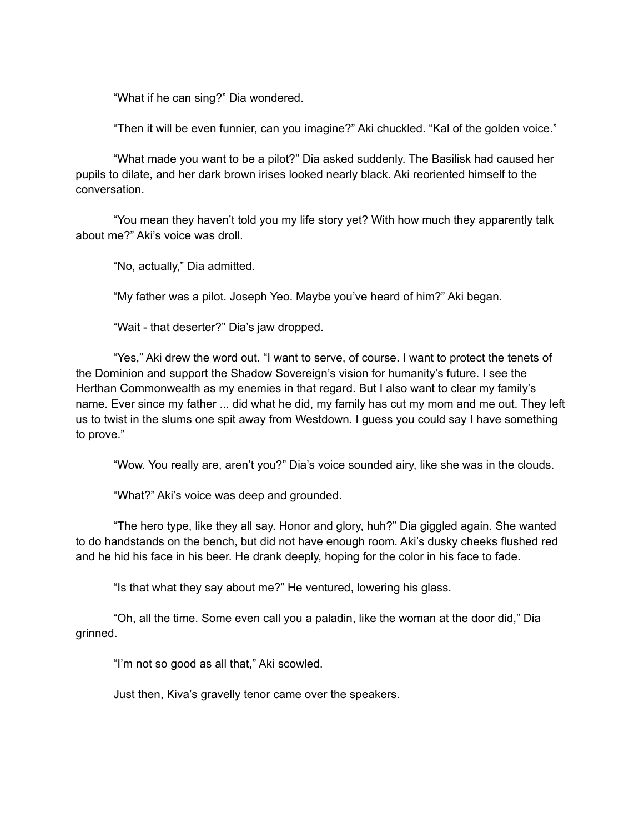"What if he can sing?" Dia wondered.

"Then it will be even funnier, can you imagine?" Aki chuckled. "Kal of the golden voice."

"What made you want to be a pilot?" Dia asked suddenly. The Basilisk had caused her pupils to dilate, and her dark brown irises looked nearly black. Aki reoriented himself to the conversation.

"You mean they haven't told you my life story yet? With how much they apparently talk about me?" Aki's voice was droll.

"No, actually," Dia admitted.

"My father was a pilot. Joseph Yeo. Maybe you've heard of him?" Aki began.

"Wait - that deserter?" Dia's jaw dropped.

"Yes," Aki drew the word out. "I want to serve, of course. I want to protect the tenets of the Dominion and support the Shadow Sovereign's vision for humanity's future. I see the Herthan Commonwealth as my enemies in that regard. But I also want to clear my family's name. Ever since my father ... did what he did, my family has cut my mom and me out. They left us to twist in the slums one spit away from Westdown. I guess you could say I have something to prove."

"Wow. You really are, aren't you?" Dia's voice sounded airy, like she was in the clouds.

"What?" Aki's voice was deep and grounded.

"The hero type, like they all say. Honor and glory, huh?" Dia giggled again. She wanted to do handstands on the bench, but did not have enough room. Aki's dusky cheeks flushed red and he hid his face in his beer. He drank deeply, hoping for the color in his face to fade.

"Is that what they say about me?" He ventured, lowering his glass.

"Oh, all the time. Some even call you a paladin, like the woman at the door did," Dia grinned.

"I'm not so good as all that," Aki scowled.

Just then, Kiva's gravelly tenor came over the speakers.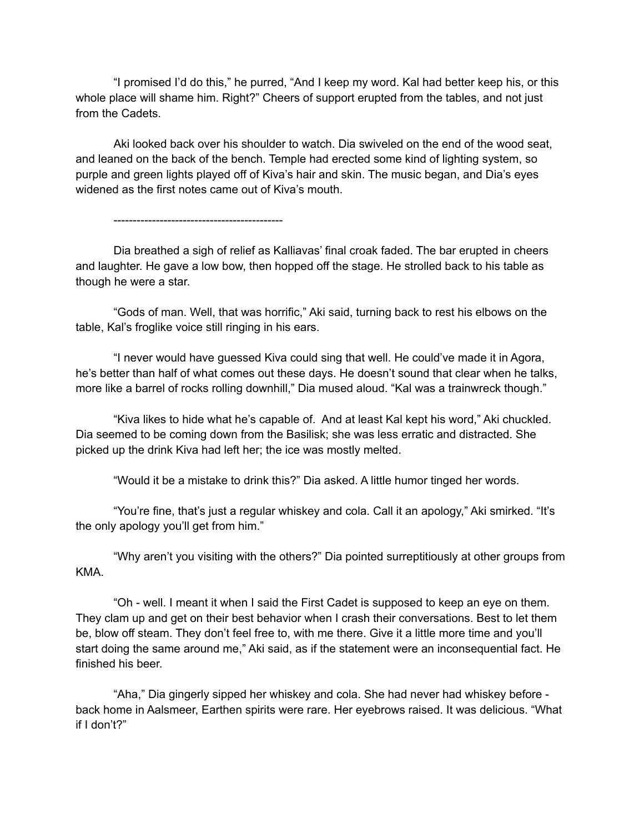"I promised I'd do this," he purred, "And I keep my word. Kal had better keep his, or this whole place will shame him. Right?" Cheers of support erupted from the tables, and not just from the Cadets.

Aki looked back over his shoulder to watch. Dia swiveled on the end of the wood seat, and leaned on the back of the bench. Temple had erected some kind of lighting system, so purple and green lights played off of Kiva's hair and skin. The music began, and Dia's eyes widened as the first notes came out of Kiva's mouth.

--------------------------------------------

Dia breathed a sigh of relief as Kalliavas' final croak faded. The bar erupted in cheers and laughter. He gave a low bow, then hopped off the stage. He strolled back to his table as though he were a star.

"Gods of man. Well, that was horrific," Aki said, turning back to rest his elbows on the table, Kal's froglike voice still ringing in his ears.

"I never would have guessed Kiva could sing that well. He could've made it in Agora, he's better than half of what comes out these days. He doesn't sound that clear when he talks, more like a barrel of rocks rolling downhill," Dia mused aloud. "Kal was a trainwreck though."

"Kiva likes to hide what he's capable of. And at least Kal kept his word," Aki chuckled. Dia seemed to be coming down from the Basilisk; she was less erratic and distracted. She picked up the drink Kiva had left her; the ice was mostly melted.

"Would it be a mistake to drink this?" Dia asked. A little humor tinged her words.

"You're fine, that's just a regular whiskey and cola. Call it an apology," Aki smirked. "It's the only apology you'll get from him."

"Why aren't you visiting with the others?" Dia pointed surreptitiously at other groups from KMA.

"Oh - well. I meant it when I said the First Cadet is supposed to keep an eye on them. They clam up and get on their best behavior when I crash their conversations. Best to let them be, blow off steam. They don't feel free to, with me there. Give it a little more time and you'll start doing the same around me," Aki said, as if the statement were an inconsequential fact. He finished his beer.

"Aha," Dia gingerly sipped her whiskey and cola. She had never had whiskey before back home in Aalsmeer, Earthen spirits were rare. Her eyebrows raised. It was delicious. "What if I don't?"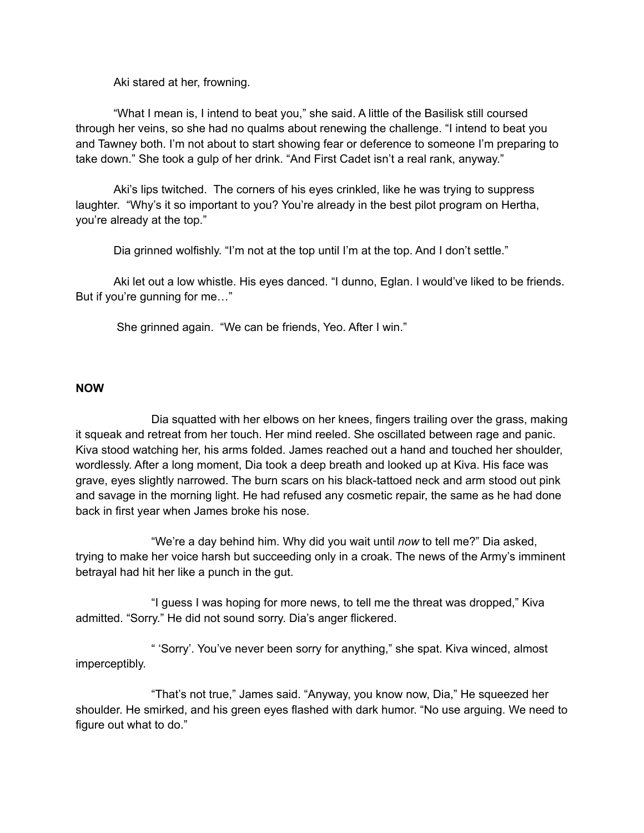Aki stared at her, frowning.

"What I mean is, I intend to beat you," she said. A little of the Basilisk still coursed through her veins, so she had no qualms about renewing the challenge. "I intend to beat you and Tawney both. I'm not about to start showing fear or deference to someone I'm preparing to take down." She took a gulp of her drink. "And First Cadet isn't a real rank, anyway."

Aki's lips twitched. The corners of his eyes crinkled, like he was trying to suppress laughter. "Why's it so important to you? You're already in the best pilot program on Hertha, you're already at the top."

Dia grinned wolfishly. "I'm not at the top until I'm at the top. And I don't settle."

Aki let out a low whistle. His eyes danced. "I dunno, Eglan. I would've liked to be friends. But if you're gunning for me…"

She grinned again. "We can be friends, Yeo. After I win."

## **NOW**

Dia squatted with her elbows on her knees, fingers trailing over the grass, making it squeak and retreat from her touch. Her mind reeled. She oscillated between rage and panic. Kiva stood watching her, his arms folded. James reached out a hand and touched her shoulder, wordlessly. After a long moment, Dia took a deep breath and looked up at Kiva. His face was grave, eyes slightly narrowed. The burn scars on his black-tattoed neck and arm stood out pink and savage in the morning light. He had refused any cosmetic repair, the same as he had done back in first year when James broke his nose.

"We're a day behind him. Why did you wait until *now* to tell me?" Dia asked, trying to make her voice harsh but succeeding only in a croak. The news of the Army's imminent betrayal had hit her like a punch in the gut.

"I guess I was hoping for more news, to tell me the threat was dropped," Kiva admitted. "Sorry." He did not sound sorry. Dia's anger flickered.

" 'Sorry'. You've never been sorry for anything," she spat. Kiva winced, almost imperceptibly.

"That's not true," James said. "Anyway, you know now, Dia," He squeezed her shoulder. He smirked, and his green eyes flashed with dark humor. "No use arguing. We need to figure out what to do."